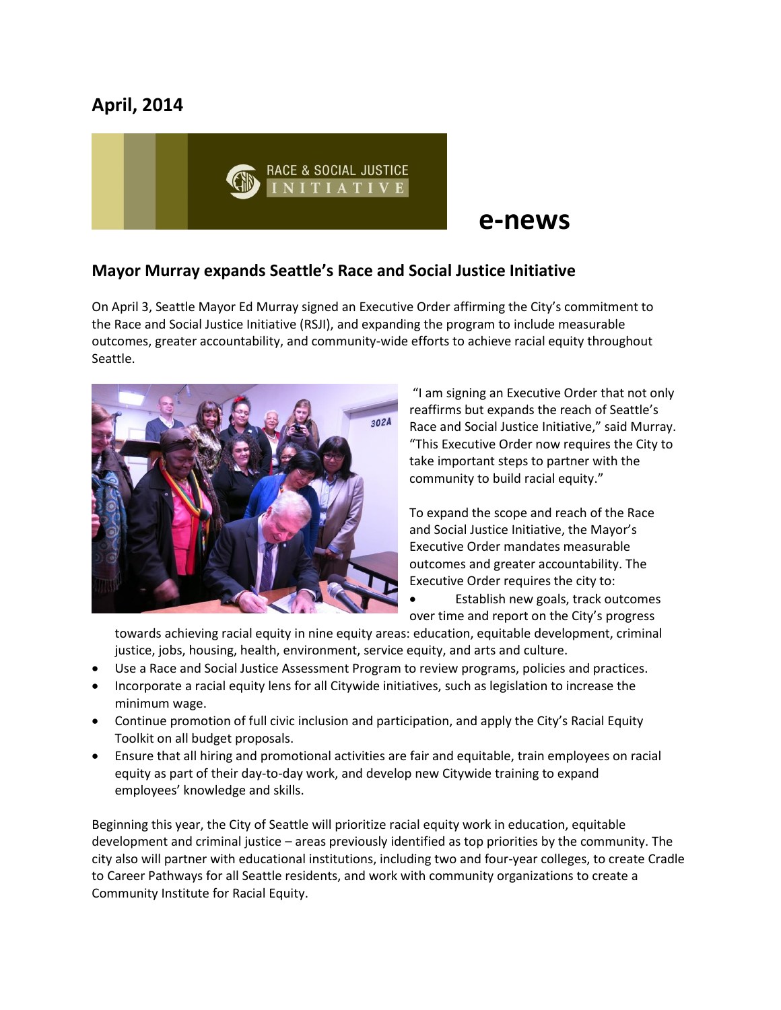# **April, 2014**



# **e-news**

# **Mayor Murray expands Seattle's Race and Social Justice Initiative**

On April 3, Seattle Mayor Ed Murray signed an Executive Order affirming the City's commitment to the Race and Social Justice Initiative (RSJI), and expanding the program to include measurable outcomes, greater accountability, and community-wide efforts to achieve racial equity throughout Seattle.



"I am signing an Executive Order that not only reaffirms but expands the reach of Seattle's Race and Social Justice Initiative," said Murray. "This Executive Order now requires the City to take important steps to partner with the community to build racial equity."

To expand the scope and reach of the Race and Social Justice Initiative, the Mayor's Executive Order mandates measurable outcomes and greater accountability. The Executive Order requires the city to:

 Establish new goals, track outcomes over time and report on the City's progress

towards achieving racial equity in nine equity areas: education, equitable development, criminal justice, jobs, housing, health, environment, service equity, and arts and culture.

- Use a Race and Social Justice Assessment Program to review programs, policies and practices.
- Incorporate a racial equity lens for all Citywide initiatives, such as legislation to increase the minimum wage.
- Continue promotion of full civic inclusion and participation, and apply the City's Racial Equity Toolkit on all budget proposals.
- Ensure that all hiring and promotional activities are fair and equitable, train employees on racial equity as part of their day-to-day work, and develop new Citywide training to expand employees' knowledge and skills.

Beginning this year, the City of Seattle will prioritize racial equity work in education, equitable development and criminal justice – areas previously identified as top priorities by the community. The city also will partner with educational institutions, including two and four-year colleges, to create Cradle to Career Pathways for all Seattle residents, and work with community organizations to create a Community Institute for Racial Equity.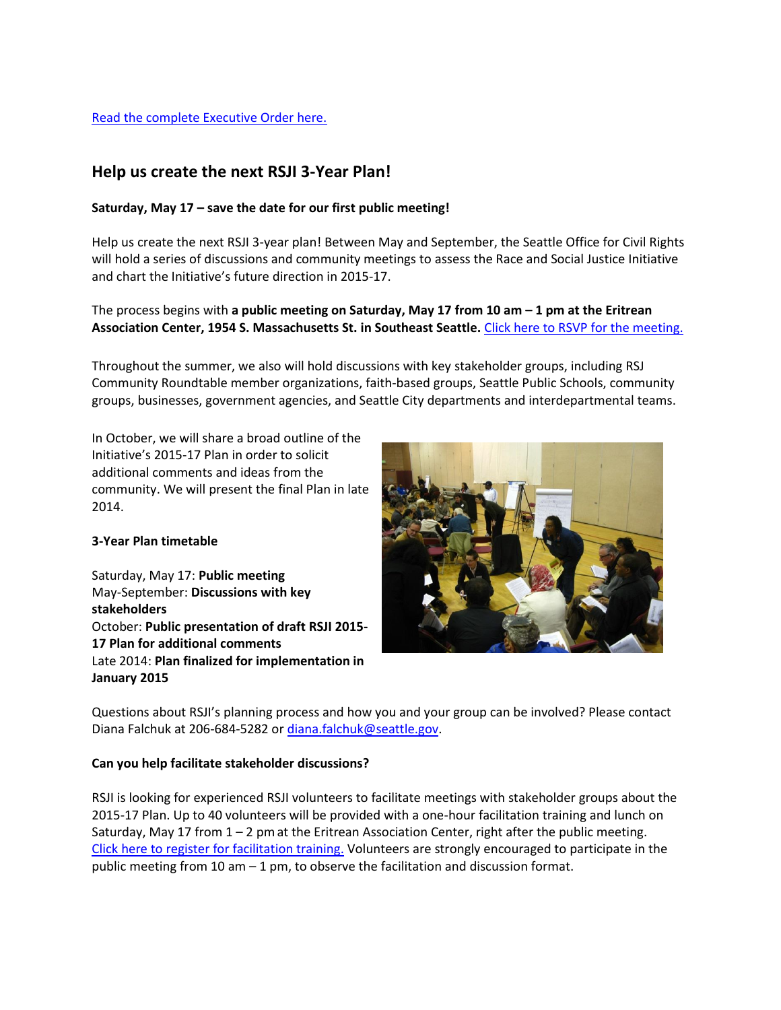#### [Read the complete Executive Order here.](http://murray.seattle.gov/wp-content/uploads/2014/04/RSJI-Executive-Order.pdf)

## **Help us create the next RSJI 3-Year Plan!**

#### **Saturday, May 17 – save the date for our first public meeting!**

Help us create the next RSJI 3-year plan! Between May and September, the Seattle Office for Civil Rights will hold a series of discussions and community meetings to assess the Race and Social Justice Initiative and chart the Initiative's future direction in 2015-17.

The process begins with **a public meeting on Saturday, May 17 from 10 am – 1 pm at the Eritrean Association Center, 1954 S. Massachusetts St. in Southeast Seattle.** [Click here to RSVP for the meeting.](https://www.surveymonkey.com/s/RSJIMay17)

Throughout the summer, we also will hold discussions with key stakeholder groups, including RSJ Community Roundtable member organizations, faith-based groups, Seattle Public Schools, community groups, businesses, government agencies, and Seattle City departments and interdepartmental teams.

In October, we will share a broad outline of the Initiative's 2015-17 Plan in order to solicit additional comments and ideas from the community. We will present the final Plan in late 2014.

#### **3-Year Plan timetable**

Saturday, May 17: **Public meeting** May-September: **Discussions with key stakeholders** October: **Public presentation of draft RSJI 2015- 17 Plan for additional comments** Late 2014: **Plan finalized for implementation in January 2015**



Questions about RSJI's planning process and how you and your group can be involved? Please contact Diana Falchuk at 206-684-5282 or [diana.falchuk@seattle.gov.](mailto:diana.falchuk@seattle.gov)

#### **Can you help facilitate stakeholder discussions?**

RSJI is looking for experienced RSJI volunteers to facilitate meetings with stakeholder groups about the 2015-17 Plan. Up to 40 volunteers will be provided with a one-hour facilitation training and lunch on Saturday, May 17 from  $1 - 2$  pm at the Eritrean Association Center, right after the public meeting. [Click here to register for facilitation training.](https://www.surveymonkey.com/s/FacilsLunchMay17) Volunteers are strongly encouraged to participate in the public meeting from 10 am  $-1$  pm, to observe the facilitation and discussion format.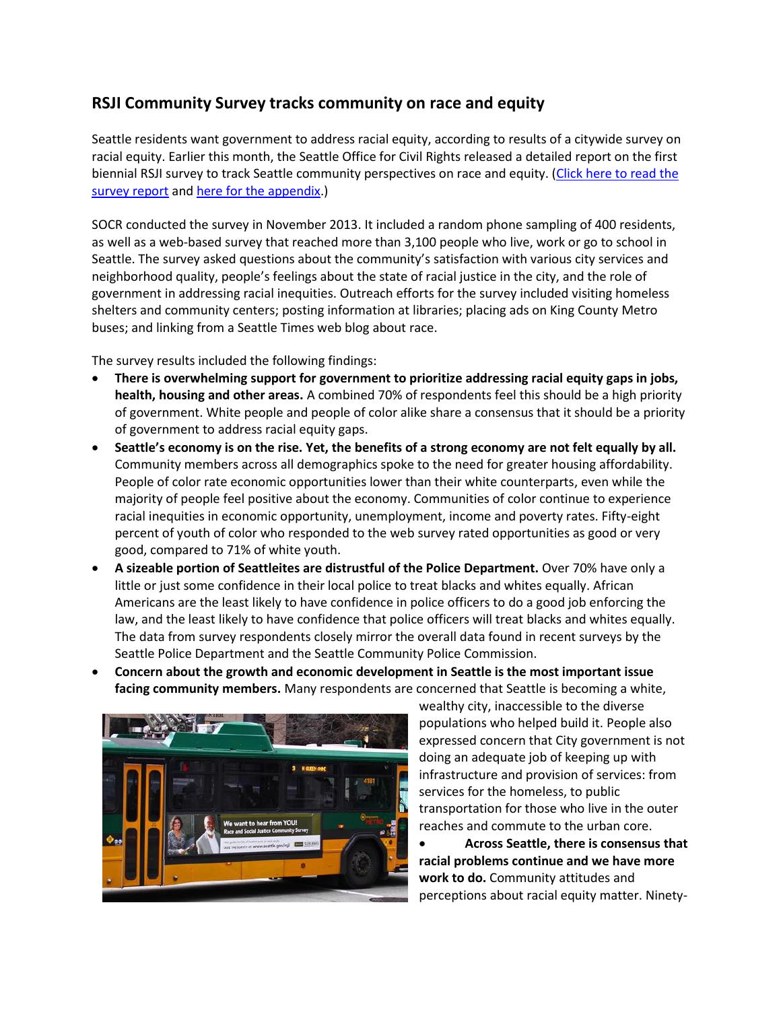# **RSJI Community Survey tracks community on race and equity**

Seattle residents want government to address racial equity, according to results of a citywide survey on racial equity. Earlier this month, the Seattle Office for Civil Rights released a detailed report on the first biennial RSJI survey to track Seattle community perspectives on race and equity. [\(Click here to read](http://www.seattle.gov/Documents/Departments/RSJI/2013-Community-Survey-RSJI.pdf) the [survey report](http://www.seattle.gov/Documents/Departments/RSJI/2013-Community-Survey-RSJI.pdf) and [here for the appendix.](http://www.seattle.gov/Documents/Departments/RSJI/RSJI-Appendix.pdf))

SOCR conducted the survey in November 2013. It included a random phone sampling of 400 residents, as well as a web-based survey that reached more than 3,100 people who live, work or go to school in Seattle. The survey asked questions about the community's satisfaction with various city services and neighborhood quality, people's feelings about the state of racial justice in the city, and the role of government in addressing racial inequities. Outreach efforts for the survey included visiting homeless shelters and community centers; posting information at libraries; placing ads on King County Metro buses; and linking from a Seattle Times web blog about race.

The survey results included the following findings:

- **There is overwhelming support for government to prioritize addressing racial equity gaps in jobs, health, housing and other areas.** A combined 70% of respondents feel this should be a high priority of government. White people and people of color alike share a consensus that it should be a priority of government to address racial equity gaps.
- **Seattle's economy is on the rise. Yet, the benefits of a strong economy are not felt equally by all.**  Community members across all demographics spoke to the need for greater housing affordability. People of color rate economic opportunities lower than their white counterparts, even while the majority of people feel positive about the economy. Communities of color continue to experience racial inequities in economic opportunity, unemployment, income and poverty rates. Fifty-eight percent of youth of color who responded to the web survey rated opportunities as good or very good, compared to 71% of white youth.
- **A sizeable portion of Seattleites are distrustful of the Police Department.** Over 70% have only a little or just some confidence in their local police to treat blacks and whites equally. African Americans are the least likely to have confidence in police officers to do a good job enforcing the law, and the least likely to have confidence that police officers will treat blacks and whites equally. The data from survey respondents closely mirror the overall data found in recent surveys by the Seattle Police Department and the Seattle Community Police Commission.
- **Concern about the growth and economic development in Seattle is the most important issue facing community members.** Many respondents are concerned that Seattle is becoming a white,



wealthy city, inaccessible to the diverse populations who helped build it. People also expressed concern that City government is not doing an adequate job of keeping up with infrastructure and provision of services: from services for the homeless, to public transportation for those who live in the outer reaches and commute to the urban core.

 **Across Seattle, there is consensus that racial problems continue and we have more work to do.** Community attitudes and perceptions about racial equity matter. Ninety